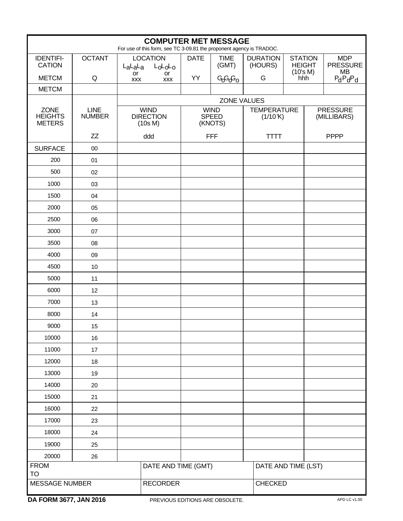| <b>COMPUTER MET MESSAGE</b><br>For use of this form, see TC 3-09.81 the proponent agency is TRADOC. |                              |                                            |                           |             |                                        |                                |                                 |                                |                                            |
|-----------------------------------------------------------------------------------------------------|------------------------------|--------------------------------------------|---------------------------|-------------|----------------------------------------|--------------------------------|---------------------------------|--------------------------------|--------------------------------------------|
| <b>IDENTIFI-</b><br><b>CATION</b>                                                                   | <b>OCTANT</b>                | $L_{a}L_{a}L_{a}$                          | <b>LOCATION</b><br>LoLoLo | <b>DATE</b> | <b>TIME</b><br>(GMT)                   | <b>DURATION</b><br>(HOURS)     | <b>STATION</b><br><b>HEIGHT</b> |                                | <b>MDP</b><br><b>PRESSURE</b><br><b>MB</b> |
| <b>METCM</b>                                                                                        | Q                            | or<br><b>XXX</b>                           | or<br><b>XXX</b>          | YY          | GGGG <sub>O</sub>                      | G                              | (10's M)<br>hhh                 |                                | $P_dP_dP_d$                                |
| <b>METCM</b>                                                                                        |                              |                                            |                           |             |                                        |                                |                                 |                                |                                            |
|                                                                                                     |                              |                                            |                           |             | <b>ZONE VALUES</b>                     |                                |                                 |                                |                                            |
| <b>ZONE</b><br><b>HEIGHTS</b><br><b>METERS</b>                                                      | <b>LINE</b><br><b>NUMBER</b> | <b>WIND</b><br><b>DIRECTION</b><br>(10s M) |                           |             | <b>WIND</b><br><b>SPEED</b><br>(KNOTS) | <b>TEMPERATURE</b><br>(1/10 K) |                                 | <b>PRESSURE</b><br>(MILLIBARS) |                                            |
|                                                                                                     | ZZ                           |                                            | ddd                       |             | <b>FFF</b>                             | <b>TTTT</b>                    |                                 |                                | <b>PPPP</b>                                |
| <b>SURFACE</b>                                                                                      | 00                           |                                            |                           |             |                                        |                                |                                 |                                |                                            |
| 200                                                                                                 | 01                           |                                            |                           |             |                                        |                                |                                 |                                |                                            |
| 500                                                                                                 | 02                           |                                            |                           |             |                                        |                                |                                 |                                |                                            |
| 1000                                                                                                | 03                           |                                            |                           |             |                                        |                                |                                 |                                |                                            |
| 1500                                                                                                | 04                           |                                            |                           |             |                                        |                                |                                 |                                |                                            |
| 2000                                                                                                | 05                           |                                            |                           |             |                                        |                                |                                 |                                |                                            |
| 2500                                                                                                | 06                           |                                            |                           |             |                                        |                                |                                 |                                |                                            |
| 3000                                                                                                | 07                           |                                            |                           |             |                                        |                                |                                 |                                |                                            |
| 3500                                                                                                | 08                           |                                            |                           |             |                                        |                                |                                 |                                |                                            |
| 4000                                                                                                | 09                           |                                            |                           |             |                                        |                                |                                 |                                |                                            |
| 4500                                                                                                | 10                           |                                            |                           |             |                                        |                                |                                 |                                |                                            |
| 5000                                                                                                | 11                           |                                            |                           |             |                                        |                                |                                 |                                |                                            |
| 6000                                                                                                | 12                           |                                            |                           |             |                                        |                                |                                 |                                |                                            |
| 7000                                                                                                | 13                           |                                            |                           |             |                                        |                                |                                 |                                |                                            |
| 8000                                                                                                | 14                           |                                            |                           |             |                                        |                                |                                 |                                |                                            |
| 9000                                                                                                | 15                           |                                            |                           |             |                                        |                                |                                 |                                |                                            |
| 10000                                                                                               | 16                           |                                            |                           |             |                                        |                                |                                 |                                |                                            |
| 11000                                                                                               | 17                           |                                            |                           |             |                                        |                                |                                 |                                |                                            |
| 12000                                                                                               | 18                           |                                            |                           |             |                                        |                                |                                 |                                |                                            |
| 13000                                                                                               | 19                           |                                            |                           |             |                                        |                                |                                 |                                |                                            |
| 14000                                                                                               | 20                           |                                            |                           |             |                                        |                                |                                 |                                |                                            |
| 15000                                                                                               | 21                           |                                            |                           |             |                                        |                                |                                 |                                |                                            |
| 16000                                                                                               | 22                           |                                            |                           |             |                                        |                                |                                 |                                |                                            |
| 17000                                                                                               | 23                           |                                            |                           |             |                                        |                                |                                 |                                |                                            |
| 18000                                                                                               | 24                           |                                            |                           |             |                                        |                                |                                 |                                |                                            |
| 19000                                                                                               | 25                           |                                            |                           |             |                                        |                                |                                 |                                |                                            |
| 20000                                                                                               | 26                           |                                            |                           |             |                                        |                                |                                 |                                |                                            |
| <b>FROM</b><br><b>TO</b>                                                                            |                              |                                            | DATE AND TIME (GMT)       |             |                                        |                                | DATE AND TIME (LST)             |                                |                                            |
| <b>MESSAGE NUMBER</b>                                                                               |                              |                                            | <b>RECORDER</b>           |             |                                        |                                | CHECKED                         |                                |                                            |